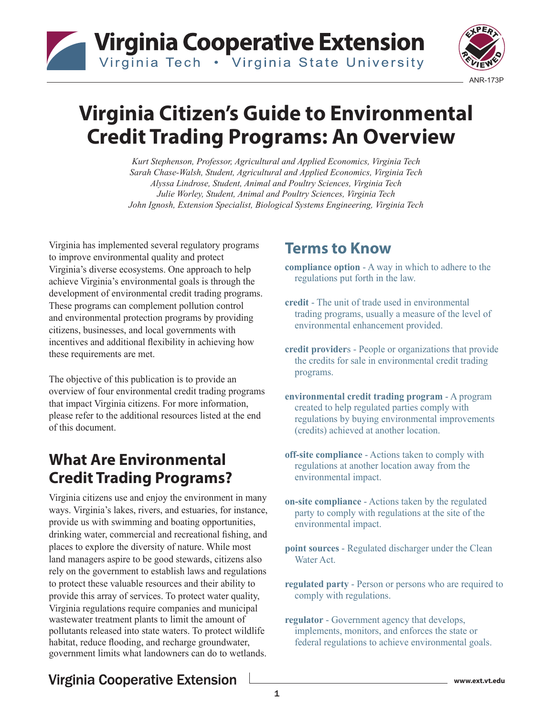# **Virginia Cooperative Extension** Virginia Tech . Virginia State University



# **Virginia Citizen's Guide to Environmental Credit Trading Programs: An Overview**

*Kurt Stephenson, Professor, Agricultural and Applied Economics, Virginia Tech Sarah Chase-Walsh, Student, Agricultural and Applied Economics, Virginia Tech Alyssa Lindrose, Student, Animal and Poultry Sciences, Virginia Tech Julie Worley, Student, Animal and Poultry Sciences, Virginia Tech John Ignosh, Extension Specialist, Biological Systems Engineering, Virginia Tech*

Virginia has implemented several regulatory programs to improve environmental quality and protect Virginia's diverse ecosystems. One approach to help achieve Virginia's environmental goals is through the development of environmental credit trading programs. These programs can complement pollution control and environmental protection programs by providing citizens, businesses, and local governments with incentives and additional flexibility in achieving how these requirements are met.

The objective of this publication is to provide an overview of four environmental credit trading programs that impact Virginia citizens. For more information, please refer to the additional resources listed at the end of this document.

### **What Are Environmental Credit Trading Programs?**

Virginia citizens use and enjoy the environment in many ways. Virginia's lakes, rivers, and estuaries, for instance, provide us with swimming and boating opportunities, drinking water, commercial and recreational fishing, and places to explore the diversity of nature. While most land managers aspire to be good stewards, citizens also rely on the government to establish laws and regulations to protect these valuable resources and their ability to provide this array of services. To protect water quality, Virginia regulations require companies and municipal wastewater treatment plants to limit the amount of pollutants released into state waters. To protect wildlife habitat, reduce flooding, and recharge groundwater, government limits what landowners can do to wetlands.

### **Terms to Know**

- **compliance option**  A way in which to adhere to the regulations put forth in the law.
- **credit** The unit of trade used in environmental trading programs, usually a measure of the level of environmental enhancement provided.
- **credit provider**s People or organizations that provide the credits for sale in environmental credit trading programs.
- **environmental credit trading program**  A program created to help regulated parties comply with regulations by buying environmental improvements (credits) achieved at another location.
- **off-site compliance** Actions taken to comply with regulations at another location away from the environmental impact.
- **on-site compliance** Actions taken by the regulated party to comply with regulations at the site of the environmental impact.
- **point sources** Regulated discharger under the Clean Water Act.
- **regulated party**  Person or persons who are required to comply with regulations.
- **regulator** Government agency that develops, implements, monitors, and enforces the state or federal regulations to achieve environmental goals.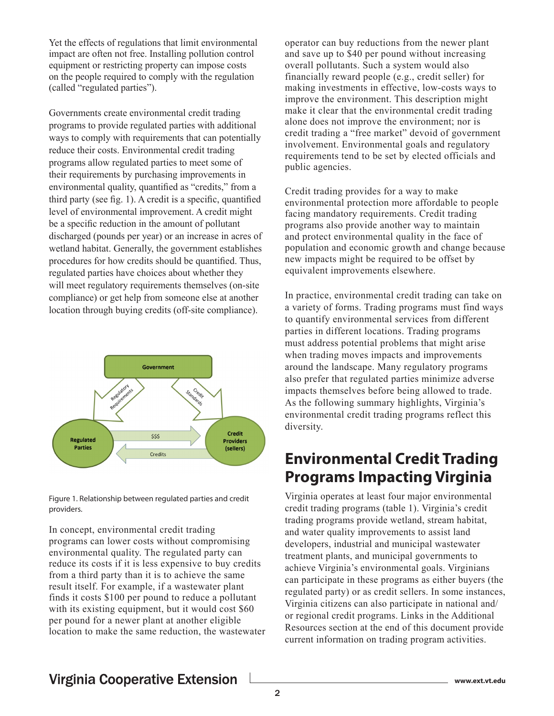Yet the effects of regulations that limit environmental impact are often not free. Installing pollution control equipment or restricting property can impose costs on the people required to comply with the regulation (called "regulated parties").

Governments create environmental credit trading programs to provide regulated parties with additional ways to comply with requirements that can potentially reduce their costs. Environmental credit trading programs allow regulated parties to meet some of their requirements by purchasing improvements in environmental quality, quantified as "credits," from a third party (see fig. 1). A credit is a specific, quantified level of environmental improvement. A credit might be a specific reduction in the amount of pollutant discharged (pounds per year) or an increase in acres of wetland habitat. Generally, the government establishes procedures for how credits should be quantified. Thus, regulated parties have choices about whether they will meet regulatory requirements themselves (on-site compliance) or get help from someone else at another location through buying credits (off-site compliance).



Figure 1. Relationship between regulated parties and credit providers.

In concept, environmental credit trading programs can lower costs without compromising environmental quality. The regulated party can reduce its costs if it is less expensive to buy credits from a third party than it is to achieve the same result itself. For example, if a wastewater plant finds it costs \$100 per pound to reduce a pollutant with its existing equipment, but it would cost \$60 per pound for a newer plant at another eligible location to make the same reduction, the wastewater operator can buy reductions from the newer plant and save up to \$40 per pound without increasing overall pollutants. Such a system would also financially reward people (e.g., credit seller) for making investments in effective, low-costs ways to improve the environment. This description might make it clear that the environmental credit trading alone does not improve the environment; nor is credit trading a "free market" devoid of government involvement. Environmental goals and regulatory requirements tend to be set by elected officials and public agencies.

Credit trading provides for a way to make environmental protection more affordable to people facing mandatory requirements. Credit trading programs also provide another way to maintain and protect environmental quality in the face of population and economic growth and change because new impacts might be required to be offset by equivalent improvements elsewhere.

In practice, environmental credit trading can take on a variety of forms. Trading programs must find ways to quantify environmental services from different parties in different locations. Trading programs must address potential problems that might arise when trading moves impacts and improvements around the landscape. Many regulatory programs also prefer that regulated parties minimize adverse impacts themselves before being allowed to trade. As the following summary highlights, Virginia's environmental credit trading programs reflect this diversity.

### **Environmental Credit Trading Programs Impacting Virginia**

Virginia operates at least four major environmental credit trading programs (table 1). Virginia's credit trading programs provide wetland, stream habitat, and water quality improvements to assist land developers, industrial and municipal wastewater treatment plants, and municipal governments to achieve Virginia's environmental goals. Virginians can participate in these programs as either buyers (the regulated party) or as credit sellers. In some instances, Virginia citizens can also participate in national and/ or regional credit programs. Links in the Additional Resources section at the end of this document provide current information on trading program activities.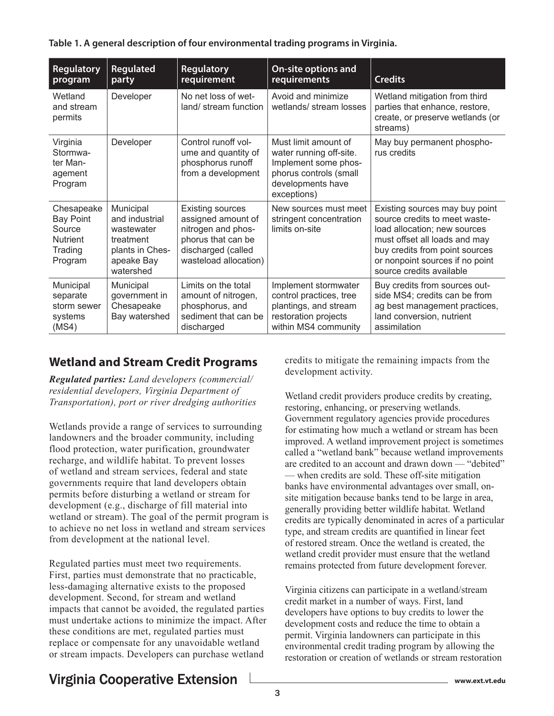**Table 1. A general description of four environmental trading programs in Virginia.**

| Regulatory<br>program                                                             | Regulated<br>party                                                                                   | <b>Regulatory</b><br>requirement                                                                                                         | <b>On-site options and</b><br><b>requirements</b>                                                                                     | <b>Credits</b>                                                                                                                                                                                                                    |
|-----------------------------------------------------------------------------------|------------------------------------------------------------------------------------------------------|------------------------------------------------------------------------------------------------------------------------------------------|---------------------------------------------------------------------------------------------------------------------------------------|-----------------------------------------------------------------------------------------------------------------------------------------------------------------------------------------------------------------------------------|
| Wetland<br>and stream<br>permits                                                  | Developer                                                                                            | No net loss of wet-<br>land/stream function                                                                                              | Avoid and minimize<br>wetlands/ stream losses                                                                                         | Wetland mitigation from third<br>parties that enhance, restore,<br>create, or preserve wetlands (or<br>streams)                                                                                                                   |
| Virginia<br>Stormwa-<br>ter Man-<br>agement<br>Program                            | Developer                                                                                            | Control runoff vol-<br>ume and quantity of<br>phosphorus runoff<br>from a development                                                    | Must limit amount of<br>water running off-site.<br>Implement some phos-<br>phorus controls (small<br>developments have<br>exceptions) | May buy permanent phospho-<br>rus credits                                                                                                                                                                                         |
| Chesapeake<br><b>Bay Point</b><br>Source<br><b>Nutrient</b><br>Trading<br>Program | Municipal<br>and industrial<br>wastewater<br>treatment<br>plants in Ches-<br>apeake Bay<br>watershed | <b>Existing sources</b><br>assigned amount of<br>nitrogen and phos-<br>phorus that can be<br>discharged (called<br>wasteload allocation) | New sources must meet<br>stringent concentration<br>limits on-site                                                                    | Existing sources may buy point<br>source credits to meet waste-<br>load allocation; new sources<br>must offset all loads and may<br>buy credits from point sources<br>or nonpoint sources if no point<br>source credits available |
| Municipal<br>separate<br>storm sewer<br>systems<br>(MS4)                          | Municipal<br>government in<br>Chesapeake<br>Bay watershed                                            | Limits on the total<br>amount of nitrogen,<br>phosphorus, and<br>sediment that can be<br>discharged                                      | Implement stormwater<br>control practices, tree<br>plantings, and stream<br>restoration projects<br>within MS4 community              | Buy credits from sources out-<br>side MS4; credits can be from<br>ag best management practices,<br>land conversion, nutrient<br>assimilation                                                                                      |

#### **Wetland and Stream Credit Programs**

*Regulated parties: Land developers (commercial/ residential developers, Virginia Department of Transportation), port or river dredging authorities*

Wetlands provide a range of services to surrounding landowners and the broader community, including flood protection, water purification, groundwater recharge, and wildlife habitat. To prevent losses of wetland and stream services, federal and state governments require that land developers obtain permits before disturbing a wetland or stream for development (e.g., discharge of fill material into wetland or stream). The goal of the permit program is to achieve no net loss in wetland and stream services from development at the national level.

Regulated parties must meet two requirements. First, parties must demonstrate that no practicable, less-damaging alternative exists to the proposed development. Second, for stream and wetland impacts that cannot be avoided, the regulated parties must undertake actions to minimize the impact. After these conditions are met, regulated parties must replace or compensate for any unavoidable wetland or stream impacts. Developers can purchase wetland

credits to mitigate the remaining impacts from the development activity.

Wetland credit providers produce credits by creating, restoring, enhancing, or preserving wetlands. Government regulatory agencies provide procedures for estimating how much a wetland or stream has been improved. A wetland improvement project is sometimes called a "wetland bank" because wetland improvements are credited to an account and drawn down — "debited" — when credits are sold. These off-site mitigation banks have environmental advantages over small, onsite mitigation because banks tend to be large in area, generally providing better wildlife habitat. Wetland credits are typically denominated in acres of a particular type, and stream credits are quantified in linear feet of restored stream. Once the wetland is created, the wetland credit provider must ensure that the wetland remains protected from future development forever.

Virginia citizens can participate in a wetland/stream credit market in a number of ways. First, land developers have options to buy credits to lower the development costs and reduce the time to obtain a permit. Virginia landowners can participate in this environmental credit trading program by allowing the restoration or creation of wetlands or stream restoration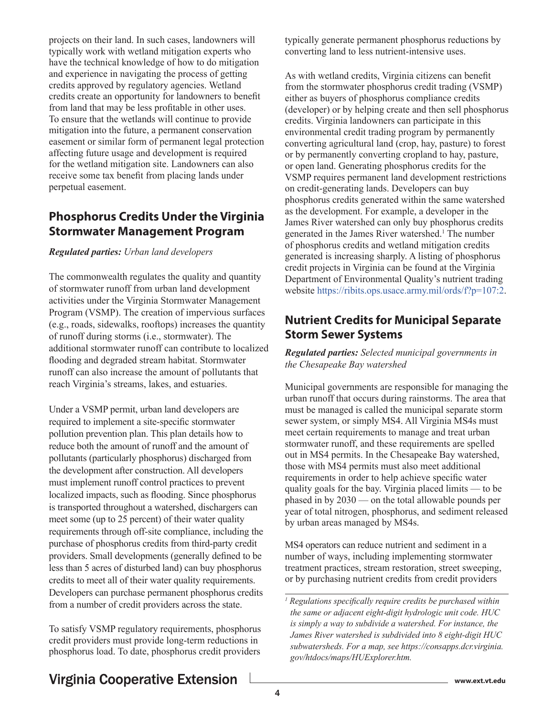projects on their land. In such cases, landowners will typically work with wetland mitigation experts who have the technical knowledge of how to do mitigation and experience in navigating the process of getting credits approved by regulatory agencies. Wetland credits create an opportunity for landowners to benefit from land that may be less profitable in other uses. To ensure that the wetlands will continue to provide mitigation into the future, a permanent conservation easement or similar form of permanent legal protection affecting future usage and development is required for the wetland mitigation site. Landowners can also receive some tax benefit from placing lands under perpetual easement.

#### **Phosphorus Credits Under the Virginia Stormwater Management Program**

#### *Regulated parties: Urban land developers*

The commonwealth regulates the quality and quantity of stormwater runoff from urban land development activities under the Virginia Stormwater Management Program (VSMP). The creation of impervious surfaces (e.g., roads, sidewalks, rooftops) increases the quantity of runoff during storms (i.e., stormwater). The additional stormwater runoff can contribute to localized flooding and degraded stream habitat. Stormwater runoff can also increase the amount of pollutants that reach Virginia's streams, lakes, and estuaries.

Under a VSMP permit, urban land developers are required to implement a site-specific stormwater pollution prevention plan. This plan details how to reduce both the amount of runoff and the amount of pollutants (particularly phosphorus) discharged from the development after construction. All developers must implement runoff control practices to prevent localized impacts, such as flooding. Since phosphorus is transported throughout a watershed, dischargers can meet some (up to 25 percent) of their water quality requirements through off-site compliance, including the purchase of phosphorus credits from third-party credit providers. Small developments (generally defined to be less than 5 acres of disturbed land) can buy phosphorus credits to meet all of their water quality requirements. Developers can purchase permanent phosphorus credits from a number of credit providers across the state.

To satisfy VSMP regulatory requirements, phosphorus credit providers must provide long-term reductions in phosphorus load. To date, phosphorus credit providers typically generate permanent phosphorus reductions by converting land to less nutrient-intensive uses.

As with wetland credits, Virginia citizens can benefit from the stormwater phosphorus credit trading (VSMP) either as buyers of phosphorus compliance credits (developer) or by helping create and then sell phosphorus credits. Virginia landowners can participate in this environmental credit trading program by permanently converting agricultural land (crop, hay, pasture) to forest or by permanently converting cropland to hay, pasture, or open land. Generating phosphorus credits for the VSMP requires permanent land development restrictions on credit-generating lands. Developers can buy phosphorus credits generated within the same watershed as the development. For example, a developer in the James River watershed can only buy phosphorus credits generated in the James River watershed.<sup>1</sup> The number of phosphorus credits and wetland mitigation credits generated is increasing sharply. A listing of phosphorus credit projects in Virginia can be found at the Virginia Department of Environmental Quality's nutrient trading website <https://ribits.ops.usace.army.mil/ords/f?p=107:2>.

#### **Nutrient Credits for Municipal Separate Storm Sewer Systems**

*Regulated parties: Selected municipal governments in the Chesapeake Bay watershed*

Municipal governments are responsible for managing the urban runoff that occurs during rainstorms. The area that must be managed is called the municipal separate storm sewer system, or simply MS4. All Virginia MS4s must meet certain requirements to manage and treat urban stormwater runoff, and these requirements are spelled out in MS4 permits. In the Chesapeake Bay watershed, those with MS4 permits must also meet additional requirements in order to help achieve specific water quality goals for the bay. Virginia placed limits — to be phased in by 2030 — on the total allowable pounds per year of total nitrogen, phosphorus, and sediment released by urban areas managed by MS4s.

MS4 operators can reduce nutrient and sediment in a number of ways, including implementing stormwater treatment practices, stream restoration, street sweeping, or by purchasing nutrient credits from credit providers

*<sup>1</sup> Regulations specifically require credits be purchased within the same or adjacent eight-digit hydrologic unit code. HUC is simply a way to subdivide a watershed. For instance, the James River watershed is subdivided into 8 eight-digit HUC subwatersheds. For a map, see https://consapps.dcr.virginia. gov/htdocs/maps/HUExplorer.htm.*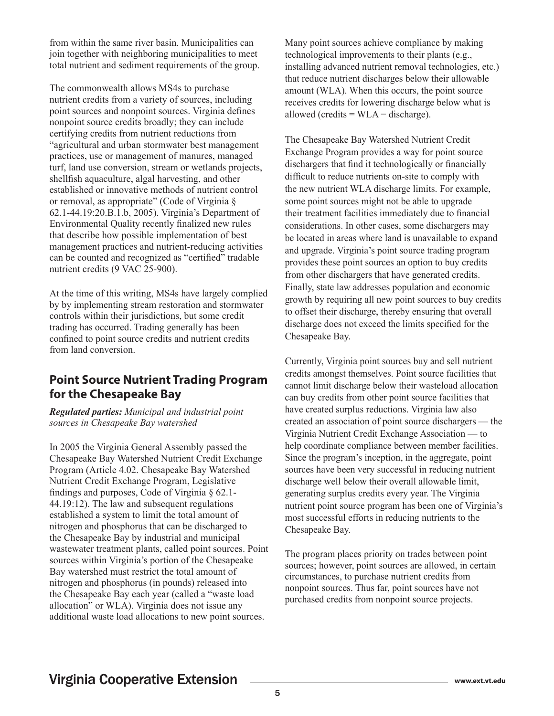from within the same river basin. Municipalities can join together with neighboring municipalities to meet total nutrient and sediment requirements of the group.

The commonwealth allows MS4s to purchase nutrient credits from a variety of sources, including point sources and nonpoint sources. Virginia defines nonpoint source credits broadly; they can include certifying credits from nutrient reductions from "agricultural and urban stormwater best management practices, use or management of manures, managed turf, land use conversion, stream or wetlands projects, shellfish aquaculture, algal harvesting, and other established or innovative methods of nutrient control or removal, as appropriate" (Code of Virginia § 62.1-44.19:20.B.1.b, 2005). Virginia's Department of Environmental Quality recently finalized new rules that describe how possible implementation of best management practices and nutrient-reducing activities can be counted and recognized as "certified" tradable nutrient credits (9 VAC 25-900).

At the time of this writing, MS4s have largely complied by by implementing stream restoration and stormwater controls within their jurisdictions, but some credit trading has occurred. Trading generally has been confined to point source credits and nutrient credits from land conversion.

#### **Point Source Nutrient Trading Program for the Chesapeake Bay**

*Regulated parties: Municipal and industrial point sources in Chesapeake Bay watershed*

In 2005 the Virginia General Assembly passed the Chesapeake Bay Watershed Nutrient Credit Exchange Program (Article 4.02. Chesapeake Bay Watershed Nutrient Credit Exchange Program, Legislative findings and purposes, Code of Virginia § 62.1- 44.19:12). The law and subsequent regulations established a system to limit the total amount of nitrogen and phosphorus that can be discharged to the Chesapeake Bay by industrial and municipal wastewater treatment plants, called point sources. Point sources within Virginia's portion of the Chesapeake Bay watershed must restrict the total amount of nitrogen and phosphorus (in pounds) released into the Chesapeake Bay each year (called a "waste load allocation" or WLA). Virginia does not issue any additional waste load allocations to new point sources.

Many point sources achieve compliance by making technological improvements to their plants (e.g., installing advanced nutrient removal technologies, etc.) that reduce nutrient discharges below their allowable amount (WLA). When this occurs, the point source receives credits for lowering discharge below what is allowed (credits =  $WLA -$  discharge).

The Chesapeake Bay Watershed Nutrient Credit Exchange Program provides a way for point source dischargers that find it technologically or financially difficult to reduce nutrients on-site to comply with the new nutrient WLA discharge limits. For example, some point sources might not be able to upgrade their treatment facilities immediately due to financial considerations. In other cases, some dischargers may be located in areas where land is unavailable to expand and upgrade. Virginia's point source trading program provides these point sources an option to buy credits from other dischargers that have generated credits. Finally, state law addresses population and economic growth by requiring all new point sources to buy credits to offset their discharge, thereby ensuring that overall discharge does not exceed the limits specified for the Chesapeake Bay.

Currently, Virginia point sources buy and sell nutrient credits amongst themselves. Point source facilities that cannot limit discharge below their wasteload allocation can buy credits from other point source facilities that have created surplus reductions. Virginia law also created an association of point source dischargers — the Virginia Nutrient Credit Exchange Association — to help coordinate compliance between member facilities. Since the program's inception, in the aggregate, point sources have been very successful in reducing nutrient discharge well below their overall allowable limit, generating surplus credits every year. The Virginia nutrient point source program has been one of Virginia's most successful efforts in reducing nutrients to the Chesapeake Bay.

The program places priority on trades between point sources; however, point sources are allowed, in certain circumstances, to purchase nutrient credits from nonpoint sources. Thus far, point sources have not purchased credits from nonpoint source projects.